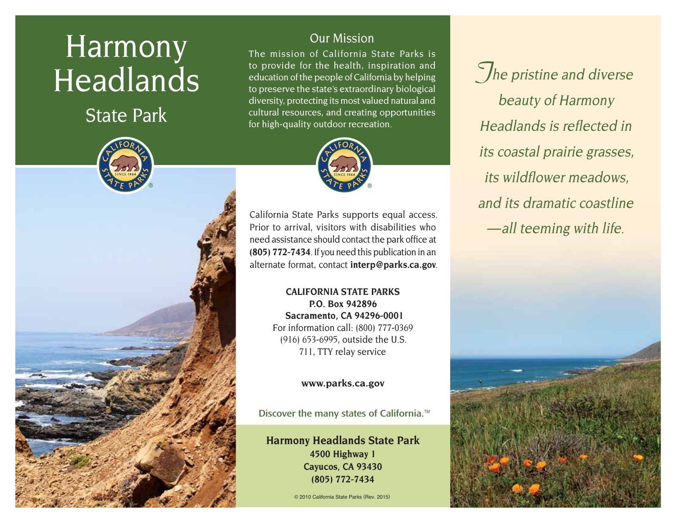# Harmony Headlands

State Park



# Our Mission

The mission of California State Parks is to provide for the health, inspiration and education of the people of California by helping to preserve the state's extraordinary biological diversity, protecting its most valued natural and cultural resources, and creating opportunities for high-quality outdoor recreation.



California State Parks supports equal access. Prior to arrival, visitors with disabilities who need assistance should contact the park office at **(805) 772-7434**. If you need this publication in an alternate format, contact **[interp@parks.ca.gov](http://interp@parks.ca.gov)**.

> **CALIFORNIA STATE PARKS P.O. Box 942896 Sacramento, CA 94296-0001** For information call: (800) 777-0369 (916) 653-6995, outside the U.S. 711, TTY relay service

> > **[www.parks.ca.gov](http://www.parks.ca.gov)**

Discover the many states of California.<sup>™</sup>

**Harmony Headlands State Park 4500 Highway 1 Cayucos, CA 93430 (805) 772-7434**

© 2010 California State Parks (Rev. 2015)

**The pristine and diverse** beauty of Harmony Headlands is reflected in its coastal prairie grasses, its wildflower meadows, and its dramatic coastline — all teeming with life.

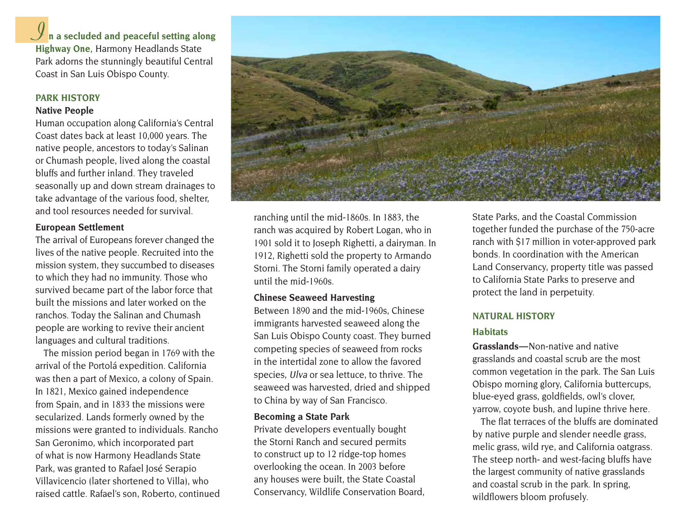**n a secluded and peaceful setting along IHighway One,** Harmony Headlands State Park adorns the stunningly beautiful Central Coast in San Luis Obispo County.

#### **PARK HISTORY**

#### **Native People**

Human occupation along California's Central Coast dates back at least 10,000 years. The native people, ancestors to today's Salinan or Chumash people, lived along the coastal bluffs and further inland. They traveled seasonally up and down stream drainages to take advantage of the various food, shelter, and tool resources needed for survival.

#### **European Settlement**

The arrival of Europeans forever changed the lives of the native people. Recruited into the mission system, they succumbed to diseases to which they had no immunity. Those who survived became part of the labor force that built the missions and later worked on the ranchos. Today the Salinan and Chumash people are working to revive their ancient languages and cultural traditions.

The mission period began in 1769 with the arrival of the Portolá expedition. California was then a part of Mexico, a colony of Spain. In 1821, Mexico gained independence from Spain, and in 1833 the missions were secularized. Lands formerly owned by the missions were granted to individuals. Rancho San Geronimo, which incorporated part of what is now Harmony Headlands State Park, was granted to Rafael José Serapio Villavicencio (later shortened to Villa), who raised cattle. Rafael's son, Roberto, continued



ranching until the mid-1860s. In 1883, the ranch was acquired by Robert Logan, who in 1901 sold it to Joseph Righetti, a dairyman. In 1912, Righetti sold the property to Armando Storni. The Storni family operated a dairy until the mid-1960s.

#### **Chinese Seaweed Harvesting**

Between 1890 and the mid-1960s, Chinese immigrants harvested seaweed along the San Luis Obispo County coast. They burned competing species of seaweed from rocks in the intertidal zone to allow the favored species, Ulva or sea lettuce, to thrive. The seaweed was harvested, dried and shipped to China by way of San Francisco.

#### **Becoming a State Park**

Private developers eventually bought the Storni Ranch and secured permits to construct up to 12 ridge-top homes overlooking the ocean. In 2003 before any houses were built, the State Coastal Conservancy, Wildlife Conservation Board,

State Parks, and the Coastal Commission together funded the purchase of the 750-acre ranch with \$17 million in voter-approved park bonds. In coordination with the American Land Conservancy, property title was passed to California State Parks to preserve and protect the land in perpetuity.

# **NATURAL HISTORY**

#### **Habitats**

**Grasslands —** Non-native and native grasslands and coastal scrub are the most common vegetation in the park. The San Luis Obispo morning glory, California buttercups, blue-eyed grass, goldfields, owl's clover, yarrow, coyote bush, and lupine thrive here.

The flat terraces of the bluffs are dominated by native purple and slender needle grass, melic grass, wild rye, and California oatgrass. The steep north- and west-facing bluffs have the largest community of native grasslands and coastal scrub in the park. In spring, wildflowers bloom profusely.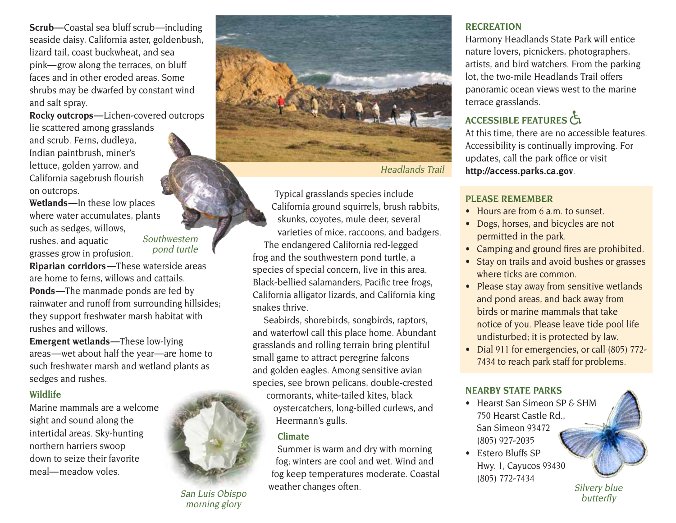**Scrub —** Coastal sea bluff scrub —including seaside daisy, California aster, goldenbush, lizard tail, coast buckwheat, and sea pink— grow along the terraces, on bluff faces and in other eroded areas. Some shrubs may be dwarfed by constant wind and salt spray.

**Rocky outcrops —** Lichen-covered outcrops lie scattered among grasslands and scrub. Ferns, dudleya, Indian paintbrush, miner's lettuce, golden yarrow, and California sagebrush flourish on outcrops.

**Wetlands —** In these low places where water accumulates, plants such as sedges, willows, rushes, and aquatic grasses grow in profusion.

Southwestern pond turtle

**Riparian corridors —**These waterside areas are home to ferns, willows and cattails. **Ponds —**The manmade ponds are fed by rainwater and runoff from surrounding hillsides; they support freshwater marsh habitat with rushes and willows.

**Emergent wetlands —**These low-lying areas — wet about half the year — are home to such freshwater marsh and wetland plants as sedges and rushes.

## **Wildlife**

Marine mammals are a welcome sight and sound along the intertidal areas. Sky-hunting northern harriers swoop down to seize their favorite meal— meadow voles.



San Luis Obispo morning glory



Headlands Trail

Typical grasslands species include California ground squirrels, brush rabbits, skunks, coyotes, mule deer, several varieties of mice, raccoons, and badgers. The endangered California red-legged frog and the southwestern pond turtle, a species of special concern, live in this area. Black-bellied salamanders, Pacific tree frogs, California alligator lizards, and California king snakes thrive.

Seabirds, shorebirds, songbirds, raptors, and waterfowl call this place home. Abundant grasslands and rolling terrain bring plentiful small game to attract peregrine falcons and golden eagles. Among sensitive avian species, see brown pelicans, double-crested cormorants, white-tailed kites, black oystercatchers, long-billed curlews, and Heermann's gulls.

#### **Climate**

Summer is warm and dry with morning fog; winters are cool and wet. Wind and fog keep temperatures moderate. Coastal weather changes often.

#### **RECREATION**

Harmony Headlands State Park will entice nature lovers, picnickers, photographers, artists, and bird watchers. From the parking lot, the two-mile Headlands Trail offers panoramic ocean views west to the marine terrace grasslands.

# **ACCESSIBLE FEATURES**

At this time, there are no accessible features. Accessibility is continually improving. For updates, call the park office or visit **<http://access.parks.ca.gov>**.

## **PLEASE REMEMBER**

- Hours are from 6 a.m. to sunset.
- Dogs, horses, and bicycles are not permitted in the park.
- Camping and ground fires are prohibited.
- Stay on trails and avoid bushes or grasses where ticks are common.
- Please stay away from sensitive wetlands and pond areas, and back away from birds or marine mammals that take notice of you. Please leave tide pool life undisturbed; it is protected by law.
- Dial 911 for emergencies, or call (805) 772-7434 to reach park staff for problems.

## **NEARBY STATE PARKS**

- Hearst San Simeon SP & SHM 750 Hearst Castle Rd., San Simeon 93472 (805) 927-2035
- Estero Bluffs SP Hwy. 1, Cayucos 93430 (805) 772-7434

Silvery blue butterfly